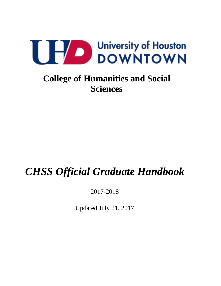

# **College of Humanities and Social Sciences**

# *CHSS Official Graduate Handbook*

2017-2018

Updated July 21, 2017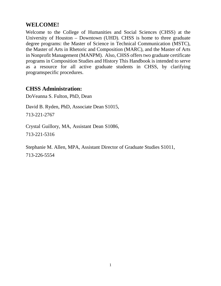# **WELCOME!**

Welcome to the College of Humanities and Social Sciences (CHSS) at the University of Houston – Downtown (UHD). CHSS is home to three graduate degree programs: the Master of Science in Technical Communication (MSTC), the Master of Arts in Rhetoric and Composition (MARC), and the Master of Arts in Nonprofit Management (MANPM). Also, CHSS offers two graduate certificate programs in Composition Studies and History This Handbook is intended to serve as a resource for all active graduate students in CHSS, by clarifying programspecific procedures.

# **CHSS Administration:**

DoVeanna S. Fulton, PhD, Dean

David B. Ryden, PhD, Associate Dean S1015, 713-221-2767

Crystal Guillory, MA, Assistant Dean S1086, 713-221-5316

Stephanie M. Allen, MPA, Assistant Director of Graduate Studies S1011, 713-226-5554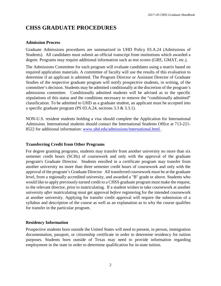# **CHSS GRADUATE PROCEDURES**

#### **Admission Process**

Graduate Admissions procedures are summarized in UHD Policy 03.A.24 (Admissions of Students). All candidates must submit an official transcript from institutions which awarded a degree. Programs may require additional information such as test scores (GRE, GMAT, etc.).

The Admissions Committee for each program will evaluate candidates using a matrix based on required application materials. A committee of faculty will use the results of this evaluation to determine if an applicant is admitted. The Program Director or Assistant Director of Graduate Studies of the respective graduate program will notify prospective students, in writing, of the committee's decision. Students may be admitted conditionally at the discretion of the program's admissions committee. Conditionally admitted students will be advised as to the specific stipulations of this status and the conditions necessary to remove the "conditionally admitted" classification. To be admitted to UHD as a graduate student, an applicant must be accepted into a specific graduate program (PS 03.A.24, sections 3.3 & 3.3.1).

NON-U.S. resident students holding a visa should complete the Application for International Admission. International students should contact the International Students Office at 713-221- 8522 for additional information: [www.uhd.edu/admissions/international.html .](http://www.uhd.edu/admissions/international.html)

## **Transferring Credit from Other Programs**

For degree granting programs, students may transfer from another university no more than six semester credit hours (SCHs) of coursework and only with the approval of the graduate program's Graduate Director. Students enrolled in a certificate program may transfer from another university no more than three semester credit hours of coursework and only with the approval of the program's Graduate Director All transferred coursework must be at the graduate level, from a regionally accredited university, and awarded a "B" grade or above. Students who would like to apply previously earned credit to a CHSS graduate program must make the request, to the relevant director, prior to matriculating. If a student wishes to take coursework at another university *after* matriculating must get approval *before* registering for the intended coursework at another university. Applying for transfer credit approval will require the submission of a syllabus and description of the course as well as an explanation as to why the course qualifies for transfer in the particular program.

## **Residency Information**

Prospective students born outside the United States will need to present, in person, immigration documentation, passport, or citizenship certificate in order to determine residency for tuition purposes. Students born outside of Texas may need to provide information regarding employment in the state in order to determine qualification for in-state tuition.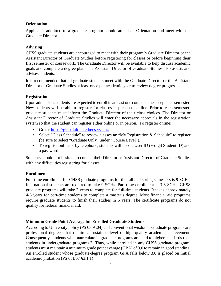## **Orientation**

Applicants admitted to a graduate program should attend an Orientation and meet with the Graduate Director.

## **Advising**

CHSS graduate students are encouraged to meet with their program's Graduate Director or the Assistant Director of Graduate Studies before registering for classes or before beginning their first semester of coursework. The Graduate Director will be available to help discuss academic goals and complete a degree plan. The Assistant Director of Graduate Studies also assists and advises students.

It is recommended that all graduate students meet with the Graduate Director or the Assistant Director of Graduate Studies at least once per academic year to review degree progress.

# **Registration**

Upon admission, students are expected to enroll in at least one course in the acceptance semester. New students will be able to register for classes in person or online. Prior to each semester, graduate students must inform the Graduate Director of their class choices. The Director or Assistant Director of Graduate Studies will enter the necessary approvals in the registration system so that the student can register either online or in person. To register online:

- Go to: [https://global.dt.uh.edu/eservices/](https://www.google.com/url?q=https%3A%2F%2Fglobal.dt.uh.edu%2Feservices%2F&sa=D&sntz=1&usg=AFQjCNHmaHHEB04dN1f8n9t0IFBzdmMikw)
- Select "Class Schedule" to review classes **or** "My Registration & Schedule" to register (be sure to select "Graduate Only" under "Course Level").
- To register online or by telephone, students will need a User ID (9-digit Student ID) and a password.

Students should not hesitate to contact their Director or Assistant Director of Graduate Studies with any difficulties registering for classes.

## **Enrollment**

Full-time enrollment for CHSS graduate programs for the fall and spring semesters is 9 SCHs. International students are required to take 9 SCHs. Part-time enrollment is 3-6 SCHs. CHSS graduate programs will take 2 years to complete for full-time students. It takes approximately 4-6 years for part-time students to complete a master's degree. Most financial aid programs require graduate students to finish their studies in 6 years. The certificate programs do not qualify for federal financial aid.

# **Minimum Grade Point Average for Enrolled Graduate Students**

According to University policy (PS 03.A.04) and conventional wisdom, "Graduate programs are professional degrees that require a sustained level of high-quality academic achievement. Consequently, students who matriculate in graduate programs are held to higher standards than students in undergraduate programs." Thus, while enrolled in any CHSS graduate program, students must maintain a minimum grade point average (GPA) of 3.0 to remain in good standing. An enrolled student whose graduate-degree program GPA falls below 3.0 is placed on initial academic probation (PS 03B07 §3.1.1)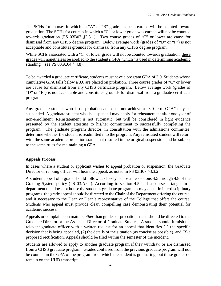The SCHs for courses in which an "A" or "B" grade has been earned will be counted toward graduation. The SCHs for courses in which a "C" or lower grade was earned will not be counted towards graduation (PS 03B07 §3.3.1). Two course grades of "C" or lower are cause for dismissal from any CHSS degree program. Below average work (grades of "D" or "F") is not acceptable and constitutes grounds for dismissal from any CHSS degree program.

While SCHs associated with a "C" or lower grade will not be counted towards graduation, these grades will nonetheless be applied to the student's GPA, which "is used in determining academic standing" (see PS 03.A.04 § 4.8).

To be awarded a graduate certificate, students must have a program GPA of 3.0. Students whose cumulative GPA falls below a 3.0 are placed on probation. Three course grades of "C" or lower are cause for dismissal from any CHSS certificate program. Below average work (grades of "D" or "F") is not acceptable and constitutes grounds for dismissal from a graduate certificate program**.** 

Any graduate student who is on probation and does not achieve a "3.0 term GPA" may be suspended. A graduate student who is suspended may apply for reinstatement after one year of non-enrollment. Reinstatement is not automatic, but will be considered in light evidence presented by the student attesting to his/her commitment to successfully completing the program. The graduate program director, in consultation with the admissions committee, determine whether the student is readmitted into the program. Any reinstated student will return with the same academic probation status that resulted in the original suspension and be subject to the same rules for maintaining a GPA.

## **Appeals Process**

In cases where a student or applicant wishes to appeal probation or suspension, the Graduate Director or ranking officer will hear the appeal, as noted in PS 03B07 §3.3.2.

A student appeal of a grade should follow as closely as possible sections 4.5 through 4.8 of the Grading System policy (PS 03.A.04). According to section 4.5.4, if a course is taught in a department that does not house the student's graduate program, as may occur in interdisciplinary programs, the grade appeal should be directed to the Chair of the Department offering the course, and if necessary to the Dean or Dean's representative of the College that offers the course. Students who appeal must provide clear, compelling case demonstrating their potential for academic success.

Appeals or complaints on matters *other* than grades or probation status should be directed to the Graduate Director or the Assistant Director of Graduate Studies. A student should furnish the relevant graduate officer with a written request for an appeal that identifies (1) the specific decision that is being appealed, (2) the details of the situation (as concise as possible), and (3) a proposed rectification. Appeals should be filed within the semester of the incident.

Students are allowed to apply to another graduate program if they withdraw or are dismissed from a CHSS graduate program. Grades conferred from the previous graduate program will not be counted in the GPA of the program from which the student is graduating, but these grades do remain on the UHD transcript.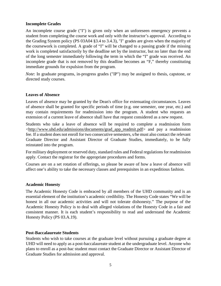#### **Incomplete Grades**

An incomplete course grade ("I") is given only when an unforeseen emergency prevents a student from completing the course work and only with the instructor's approval. According to the Grading System policy (PS 03A04 §3.4 to 3.4.3), "I" grades are given when the majority of the coursework is completed. A grade of "I" will be changed to a passing grade if the missing work is completed satisfactorily by the deadline set by the instructor, but no later than the end of the long semester immediately following the term in which the "I" grade was received. An incomplete grade that is not removed by this deadline becomes an "F," thereby constituting immediate grounds for expulsion from the program.

*Note*: In graduate programs, in-progress grades ("IP") may be assigned to thesis, capstone, or directed study courses.

#### **Leaves of Absence**

Leaves of absence may be granted by the Dean's office for extenuating circumstances. Leaves of absence shall be granted for specific periods of time (e.g. one semester, one year, etc.) and may contain requirements for readmission into the program. A student who requests an extension of a current leave of absence shall have that request considered as a new request.

Students who take a leave of absence will be required to complete a readmission form [<http://www.uhd.edu/admissions/documents/grad\\_app\\_readmit.pdf>](http://www.uhd.edu/admissions/documents/grad_app_readmit.pdf) and pay a readmission fee. If a student does not enroll for two consecutive semesters, s/he must also contact the relevant Graduate Director and Assistant Director of Graduate Studies, immediately, to be fully reinstated into the program.

For military deployment or reserved duty, standard rules and Federal regulations for readmission apply. Contact the registrar for the appropriate procedures and forms.

Courses are on a set rotation of offerings, so please be aware of how a leave of absence will affect one's ability to take the necessary classes and prerequisites in an expeditious fashion.

#### **Academic Honesty**

The Academic Honesty Code is embraced by all members of the UHD community and is an essential element of the institution's academic credibility. The Honesty Code states "We will be honest in all our academic activities and will not tolerate dishonesty." The purpose of the Academic Honesty Policy is to deal with alleged violations of the Honesty Code in a fair and consistent manner. It is each student's responsibility to read and understand the Academic Honesty Policy (PS 03.A.19).

#### **Post-Baccalaureate Students**

Students who wish to take courses at the graduate level without pursuing a graduate degree at UHD will need to apply as a post-baccalaureate student at the undergraduate level. Anyone who plans to enroll as a post-bac student must contact the Graduate Director or Assistant Director of Graduate Studies for admission and approval.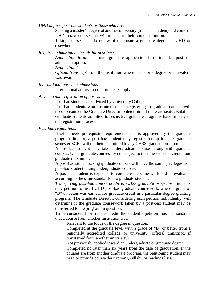*UHD defines post-bac students as those who are:* 

- Seeking a master's degree at another university (transient student) and come to UHD to take courses that will transfer to their home institution.
- Taking courses and do not want to pursue a graduate degree at UHD or elsewhere.

#### *Required admission materials for post-bacs:*

- *Application form*: The undergraduate application form includes post-bac admission option.
- *Application fee*.
- *Official transcript* from the institution where bachelor's degree or equivalent was awarded.

#### *International post-bac admissions:*

• International admission requirements apply.

*Advising and registration of post-bacs:* 

- Post-bac students are advised by University College.
- Post-bac students who are interested in registering in graduate courses will need to contact the Graduate Director to determine if there are seats available. Graduate students admitted to respective graduate programs have priority in the registration process.

*Post-bac regulations:* 

- If s/he meets prerequisite requirements and is approved by the graduate program director, a post-bac student may register for up to nine graduate semester SCHs without being admitted to any CHSS graduate program.
- A post-bac student may take undergraduate courses along with graduate courses. Undergraduate courses are not subject to the nine semester credit hour graduate maximum.
- A post-bac student taking graduate courses will have the same privileges as a post-bac student taking undergraduate courses.
- A post-bac student is expected to complete the same work and be evaluated according to the same standards as a graduate student.
- *Transferring post-bac course credit to CHSS graduate programs:* Students may petition to insert UHD post-bac graduate coursework, where a grade of "B" or better was earned, for graduate credit in a particular degree granting program. The Graduate Director, considering each petition individually, will determine if the graduate coursework taken by a post-bac student may be transferred to the program in question.
- To be considered for transfer credit, the student's petition must demonstrate that a course from another institution was:
	- Relevant to the focus of the degree in question.
	- Completed at the graduate level with a grade of "B" or better from a regionally accredited college or university (official transcript, if transferred from another university).
	- Not previously applied toward an undergraduate or graduate degree.
	- Completed no later than six years from the date of graduation. If the courses are from another graduate program, the petitioning student may need to provide course descriptions, syllabi, or readings lists.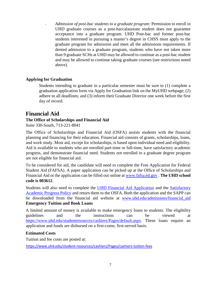• *Admission of post-bac students to a graduate program:* Permission to enroll in UHD graduate courses as a post-baccalaureate student does not guarantee acceptance into a graduate program. UHD Post-bac and former post-bac students interested in pursuing a master's degree in CHSS must apply to the graduate program for admission and meet all the admissions requirements. If denied admission to a graduate program, students who have not taken more than 9 graduate SCHs at UHD may be allowed to continue as a post-bac student and may be allowed to continue taking graduate courses (see restrictions noted above).

# **Applying for Graduation**

Students intending to graduate in a particular semester must be sure to (1) complete a graduation application form via Apply for Graduation link on the MyUHD webpage; (2) adhere to all deadlines; and (3) inform their Graduate Director one week before the first day of record.

# **Financial Aid**

#### **The Office of Scholarships and Financial Aid**

Suite 330-South, 713-221-8041

The Office of Scholarships and Financial Aid (OSFA) assists students with the financial planning and financing for their education. Financial aid consists of grants, scholarships, loans, and work study. Most aid, except for scholarships, is based upon individual need and eligibility. Aid is available to students who are enrolled part-time or full-time, have satisfactory academic progress, and demonstrate financial need. Students not enrolled in a graduate degree program are not eligible for financial aid.

To be considered for aid, the candidate will need to complete the Free Application for Federal Student Aid (FAFSA). A paper application can be picked up at the Office of Scholarships and Financial Aid or the application can be filled out online at [www.fafsa.ed.gov](http://www.google.com/url?q=http%3A%2F%2Fwww.fafsa.ed.gov%2F&sa=D&sntz=1&usg=AFQjCNEFfCN7MtRXER30x3IyHqKIADB-8Q) [.](http://www.google.com/url?q=http%3A%2F%2Fwww.fafsa.ed.gov%2F&sa=D&sntz=1&usg=AFQjCNEFfCN7MtRXER30x3IyHqKIADB-8Q) **The UHD school code is 003612**.

Students will also need to complete the **UHD Fin[an](http://www.google.com/url?q=http%3A%2F%2Fwww.uhd.edu%2Fadmissions%2Ffinancial_aid%2Fdocuments%2F2004-05UHDFinancialAidApp_000.pdf&sa=D&sntz=1&usg=AFQjCNHan2TCygW3aroVbH-4x5eBVMn1DQ)cial Aid Application** and the **Satisfactory** [Academic Progress Policy](http://www.google.com/url?q=http%3A%2F%2Fwww.uhd.edu%2Fadmissions%2Ffinancial_aid%2Fdocuments%2FSATISFACTORYACADEMICPROGRESSREQUIREMENTS_Revised__000.pdf&sa=D&sntz=1&usg=AFQjCNHhpAeuz8u-tmsxwoQaawC_SecxIw) [an](http://www.google.com/url?q=http%3A%2F%2Fwww.uhd.edu%2Fadmissions%2Ffinancial_aid%2Fdocuments%2FSATISFACTORYACADEMICPROGRESSREQUIREMENTS_Revised__000.pdf&sa=D&sntz=1&usg=AFQjCNHhpAeuz8u-tmsxwoQaawC_SecxIw)d return them to the OSFA. Both the application and the SAPP can be downloaded from the financial aid website at [www.uhd.edu/admissions/financial\\_aid](http://www.google.com/url?q=http%3A%2F%2Fwww.uhd.edu%2Fadmissions%2Ffinancial_aid&sa=D&sntz=1&usg=AFQjCNGa93ACpvGnIaLeEuBf-pZec8pY7Q) **Emergency Tuition and Book Loans**

A limited amount of money is available to make emergency loans to students. The eligibility guidelines and the instructions can be viewed at [https://www.uhd.edu/studentresources/cashiers/Pages/default.aspx.](https://www.uhd.edu/student-resources/cashiers/Pages/default.aspx) These loans require an application and funds are disbursed on a first-come, first-served basis.

#### **Estimated Costs**

Tuition and fee costs are posted at:

<https://www.uhd.edu/student-resources/cashiers/Pages/cashiers-tuition-fees>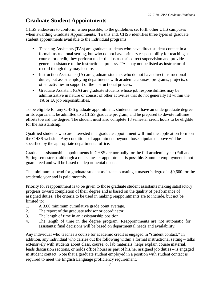# **Graduate Student Appointments**

CHSS endeavors to conform, when possible, to the guidelines set forth other UHS campuses when awarding Graduate Appointments. To this end, CHSS identifies three types of graduate student appointments available to the individual programs:

- Teaching Assistants (TAs) are graduate students who have direct student contact in a formal instructional setting, but who do not have primary responsibility for teaching a course for credit; they perform under the instructor's direct supervision and provide general assistance to the instructional process. TAs may not be listed as instructor of record though they may lecture.
- Instruction Assistants (IA) are graduate students who do not have direct instructional duties, but assist employing departments with academic courses, programs, projects, or other activities in support of the instructional process.
- Graduate Assistant (GA) are graduate students whose job responsibilities may be administrative in nature or consist of other activities that do not generally fit within the TA or IA job responsibilities.

To be eligible for any CHSS graduate appointment, students must have an undergraduate degree or its equivalent, be admitted to a CHSS graduate program, and be prepared to devote fulltime efforts toward the degree. The student must also complete 18 semester credit hours to be eligible for the assistantship.

Qualified students who are interested in a graduate appointment will find the application form on the CHSS website. Any conditions of appointment beyond those stipulated above will be specified by the appropriate departmental office.

Graduate assistantship appointments in CHSS are normally for the full academic year (Fall and Spring semesters), although a one-semester appointment is possible. Summer employment is not guaranteed and will be based on departmental needs.

The minimum stipend for graduate student assistants pursuing a master's degree is \$9,600 for the academic year and is paid monthly.

Priority for reappointment is to be given to those graduate student assistants making satisfactory progress toward completion of their degree and is based on the quality of performance of assigned duties. The criteria to be used in making reappointments are to include, but not be limited to:

- 1. A 3.00 minimum cumulative grade point average.
- 2. The report of the graduate advisor or coordinator.
- 3. The length of time in an assistantship position.
- 4. The length of time in the degree program. Reappointments are not automatic for assistants; final decisions will be based on departmental needs and availability.

Any individual who teaches a course for academic credit is engaged in "student contact." In addition, any individual who carries out the following within a formal instructional setting – talks extensively with students about class, course, or lab materials, helps explain course material, leads discussion sections, or holds office hours as part of his/her assigned job duties – is engaged in student contact. Note that a graduate student employed in a position with student contact is required to meet the English Language proficiency requirement.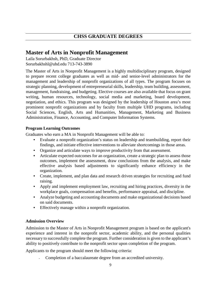# **Master of Arts in Nonprofit Management**

Laila Sorurbakhsh, PhD, Graduate Director Sorurbakhshl@uhd.edu 713-743-3890

The Master of Arts in Nonprofit Management is a highly multidisciplinary program, designed to prepare recent college graduates as well as mid- and senior-level administrators for the management and leadership of nonprofit organizations of all types. The program focuses on strategic planning, development of entrepreneurial skills, leadership, team building, assessment, management, fundraising, and budgeting. Elective courses are also available that focus on grant writing, human resources, technology, social media and marketing, board development, negotiation, and ethics. This program was designed by the leadership of Houston area's most prominent nonprofit organizations and by faculty from multiple UHD programs, including Social Sciences, English, Arts and Humanities, Management, Marketing and Business Administration, Finance, Accounting, and Computer Information Systems.

# **Program Learning Outcomes**

Graduates who earn a MA in Nonprofit Management will be able to:

- Evaluate a nonprofit organization's status on leadership and teambuilding, report their findings, and initiate effective interventions to alleviate shortcomings in those areas.
- Organize and articulate ways to improve productivity from that assessment.
- Articulate expected outcomes for an organization, create a strategic plan to assess those outcomes, implement the assessment, draw conclusions from the analysis, and make effective analysis based adjustments to significantly enhance efficiency in the organization.
- Create, implement, and plan data and research driven strategies for recruiting and fund raising.
- Apply and implement employment law, recruiting and hiring practices, diversity in the workplace goals, compensation and benefits, performance appraisal, and discipline.
- Analyze budgeting and accounting documents and make organizational decisions based on said documents.
- Effectively manage within a nonprofit organization.

## **Admission Overview**

Admission to the Master of Arts in Nonprofit Management program is based on the applicant's experience and interest in the nonprofit sector, academic ability, and the personal qualities necessary to successfully complete the program. Further consideration is given to the applicant's ability to positively contribute to the nonprofit sector upon completion of the program.

Applicants to the program should meet the following criteria:

• Completion of a baccalaureate degree from an accredited university.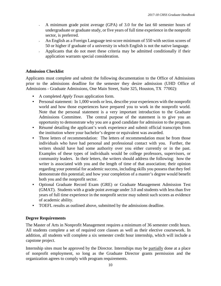- A minimum grade point average (GPA) of 3.0 for the last 60 semester hours of undergraduate or graduate study, or five years of full time experience in the nonprofit sector, is preferred.
- An English as a Foreign Language test-score minimum of 550 with section scores of 50 or higher if graduate of a university in which English is not the native language.
- Applicants that do not meet these criteria may be admitted conditionally if their application warrants special consideration.

# **Admission Checklist**

Applicants must complete and submit the following documentation to the Office of Admissions prior to the admissions deadline for the semester they desire admission (UHD Office of Admissions - Graduate Admissions, One Main Street, Suite 325, Houston, TX 77002):

- A completed *Apply Texas* application form.
- Personal statement: In 1,000 words or less, describe your experiences with the nonprofit world and how those experiences have prepared you to work in the nonprofit world. Note that the personal statement is a very important introduction to the Graduate Admissions Committee. The central purpose of the statement is to give you an opportunity to demonstrate why you are a good candidate for admission to the program.
- Résumé detailing the applicant's work experience and submit official transcripts from the institution where your bachelor's degree or equivalent was awarded.
- Three letters of recommendation: The letters of recommendation must be from those individuals who have had personal and professional contact with you. Further, the writers should have had some authority over you either currently or in the past. Examples of these types of individuals would be college professors, supervisors, or community leaders. In their letters, the writers should address the following: how the writer is associated with you and the length of time of that association; their opinion regarding your potential for academic success, including skills you possess that they feel demonstrate this potential; and how your completion of a master's degree would benefit both you and the nonprofit sector.
- Optional Graduate Record Exam (GRE) or Graduate Management Admission Test (GMAT). Students with a grade point average under 3.0 and students with less than five years of full time experience in the nonprofit sector may submit such scores as evidence of academic ability.
- TOEFL results as outlined above, submitted by the admissions deadline.

# **Degree Requirements**

The Master of Arts in Nonprofit Management requires a minimum of 36 semester credit hours. All students complete a set of required core classes as well as their elective coursework. In addition, all students will complete a six semester credit hour internship, which will include a capstone project.

Internship sites must be approved by the Director. Internships may be partially done at a place of nonprofit employment, so long as the Graduate Director grants permission and the organization agrees to comply with program requirements.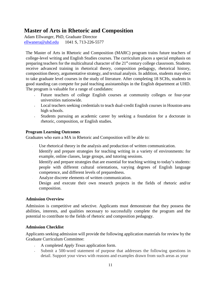# **Master of Arts in Rhetoric and Composition**

Adam Ellwanger, PhD, Graduate Director ellwanera@uhd.edu 1041 S, 713-226-5577

The Master of Arts in Rhetoric and Composition (MARC) program trains future teachers of college-level writing and English Studies courses. The curriculum places a special emphasis on preparing teachers for the multicultural character of the 21<sup>st</sup> century college classroom. Students receive advanced training in rhetorical theory, composition pedagogy, rhetorical history, composition theory, argumentative strategy, and textual analysis. In addition, students may elect to take graduate level courses in the study of literature. After completing 18 SCHs, students in good standing can compete for paid teaching assistantships in the English department at UHD. The program is valuable for a range of candidates:

- Future teachers of college English courses at community colleges or four-year universities nationwide.
- Local teachers seeking credentials to teach dual-credit English courses in Houston-area high schools.
- Students pursuing an academic career by seeking a foundation for a doctorate in rhetoric, composition, or English studies.

# **Program Learning Outcomes**

Graduates who earn a MA in Rhetoric and Composition will be able to:

- Use rhetorical theory in the analysis and production of written communication.
- Identify and prepare strategies for teaching writing in a variety of environments: for example, online classes, large groups, and tutoring sessions.
- Identify and prepare strategies that are essential for teaching writing to today's students: people with different cultural orientations, varying degrees of English language competence, and different levels of preparedness.
- Analyze discrete elements of written communication.
- Design and execute their own research projects in the fields of rhetoric and/or composition.

## **Admission Overview**

Admission is competitive and selective. Applicants must demonstrate that they possess the abilities, interests, and qualities necessary to successfully complete the program and the potential to contribute to the fields of rhetoric and composition pedagogy.

# **Admission Checklist**

Applicants seeking admission will provide the following application materials for review by the Graduate Curriculum Committee:

- A completed *Apply Texas* application form.
- Submit a 500-word statement of purpose that addresses the following questions in detail. Support your views with reasons and examples drawn from such areas as your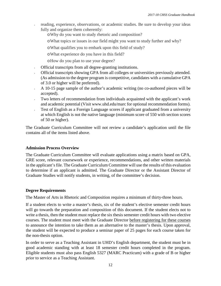- reading, experience, observations, or academic studies. Be sure to develop your ideas fully and organize them coherently:
	- oWhy do you want to study rhetoric and composition?
	- oWhat topics or issues in our field might you want to study further and why?
	- oWhat qualifies you to embark upon this field of study?
	- oWhat experience do you have in this field?
	- oHow do you plan to use your degree?
- Official transcripts from all degree-granting institutions.
- Official transcripts showing GPA from all colleges or universities previously attended. (As admission to the degree program is competitive, candidates with a cumulative GPA of 3.0 or higher will be preferred).
- A 10-15 page sample of the author's academic writing (no co-authored pieces will be accepted).
- Two letters of recommendation from individuals acquainted with the applicant's work and academic potential (Visit www.uhd.edu/marc for optional recommendation forms).
- Test of English as a Foreign Language scores if applicant graduated from a university at which English is not the native language (minimum score of 550 with section scores of 50 or higher).

The Graduate Curriculum Committee will not review a candidate's application until the file contains all of the items listed above.

## **Admission Process Overview**

The Graduate Curriculum Committee will evaluate applications using a matrix based on GPA, GRE score, relevant coursework or experience, recommendations, and other written materials in the applicant's file. The Graduate Curriculum Committee will use the results of this evaluation to determine if an applicant is admitted. The Graduate Director or the Assistant Director of Graduate Studies will notify students, in writing, of the committee's decision.

## **Degree Requirements**

The Master of Arts in Rhetoric and Composition requires a minimum of thirty-three hours.

If a student elects to write a master's thesis, six of the student's elective semester credit hours will go towards the preparation and composition of this document. If the student elects not to write a thesis, then the student must replace the six thesis semester credit hours with two elective courses. The student must meet with the Graduate Director before registering for these courses to announce the intention to take them as an alternative to the master's thesis. Upon approval, the student will be expected to produce a seminar paper of 25 pages for each course taken for the non-thesis option.

In order to serve as a Teaching Assistant in UHD's English department, the student must be in good academic standing with at least 18 semester credit hours completed in the program. Eligible students must also pass English 5327 (MARC Practicum) with a grade of B or higher prior to service as a Teaching Assistant.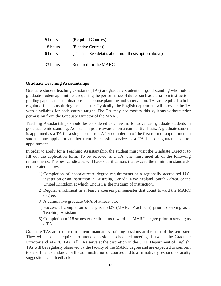| 9 hours  | (Required Courses)                                   |
|----------|------------------------------------------------------|
| 18 hours | (Elective Courses)                                   |
| 6 hours  | (Thesis – See details about non-thesis option above) |
|          |                                                      |
| 33 hours | Required for the MARC                                |

#### **Graduate Teaching Assistantships**

Graduate student teaching assistants (TAs) are graduate students in good standing who hold a graduate student appointment requiring the performance of duties such as classroom instruction, grading papers and examinations, and course planning and supervision. TAs are required to hold regular office hours during the semester. Typically, the English department will provide the TA with a syllabus for each course taught. The TA may not modify this syllabus without prior permission from the Graduate Director of the MARC.

Teaching Assistantships should be considered as a reward for advanced graduate students in good academic standing. Assistantships are awarded on a competitive basis. A graduate student is appointed as a TA for a single semester. After completion of the first term of appointment, a student may apply for another term. Successful service as a TA is not a guarantee of reappointment.

In order to apply for a Teaching Assistantship, the student must visit the Graduate Director to fill out the application form. To be selected as a TA, one must meet all of the following requirements. The best candidates will have qualifications that exceed the minimum standards, enumerated below:

- 1) Completion of baccalaureate degree requirements at a regionally accredited U.S. institution or an institution in Australia, Canada, New Zealand, South Africa, or the United Kingdom at which English is the medium of instruction.
- 2) Regular enrollment in at least 2 courses per semester that count toward the MARC degree.
- 3) A cumulative graduate GPA of at least 3.5.
- 4) Successful completion of English 5327 (MARC Practicum) prior to serving as a Teaching Assistant.
- 5) Completion of 18 semester credit hours toward the MARC degree prior to serving as a TA.

Graduate TAs are required to attend mandatory training sessions at the start of the semester. They will also be required to attend occasional scheduled meetings between the Graduate Director and MARC TAs. All TAs serve at the discretion of the UHD Department of English. TAs will be regularly observed by the faculty of the MARC degree and are expected to conform to department standards for the administration of courses and to affirmatively respond to faculty suggestions and feedback.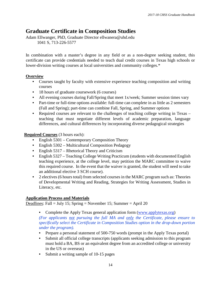# **Graduate Certificate in Composition Studies**

Adam Ellwanger, PhD, Graduate Director ellwanera@uhd.edu 1041 S, 713-226-5577

In combination with a master's degree in any field or as a non-degree seeking student, this certificate can provide credentials needed to teach dual credit courses in Texas high schools or lower-division writing courses at local universities and community colleges.\*

# **Overview**

- Courses taught by faculty with extensive experience teaching composition and writing courses
- 18 hours of graduate coursework (6 courses)
- All evening courses during Fall/Spring that meet 1x/week; Summer session times vary
- Part-time or full-time options available: full-time can complete in as little as 2 semesters (Fall and Spring); part-time can combine Fall, Spring, and Summer options
- Required courses are relevant to the challenges of teaching college writing in Texas teaching that must negotiate different levels of academic preparation, language differences, and cultural differences by incorporating diverse pedagogical strategies

# **Required Courses** (3 hours each):

- English 5301 Contemporary Composition Theory
- English 5302 Multicultural Composition Pedagogy
- English 5317 Rhetorical Theory and Criticism
- English 5327 Teaching College Writing Practicum (students with documented English teaching experience, at the college level, may petition the MARC committee to waive this required course. In the event that the waiver is granted, the student will need to take an additional elective 3 SCH course).
- 2 electives (6 hours total) from selected courses in the MARC program such as: Theories of Developmental Writing and Reading, Strategies for Writing Assessment, Studies in Literacy, etc.

# **Application Process and Materials**

Deadlines: Fall = July 15; Spring = November 15; Summer = April 20

- Complete the Apply Texas general application form [\(www.applytexas.org\)](http://www.applytexas.org/) *(For applicants not pursuing the full MA and only the Certificate, please ensure to specifically select the Certificate in Composition Studies option in the drop-down portion under the program).*
- Prepare a personal statement of 500-750 words (prompt in the Apply Texas portal)
- Submit all official college transcripts (applicants seeking admission to this program must hold a BA, BS or an equivalent degree from an accredited college or university in the US or overseas)
- Submit a writing sample of 10-15 pages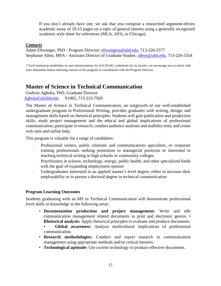If you don't already have one, we ask that you compose a researched argument-driven academic essay of 10-15 pages on a topic of general interest using a generally recognized academic style sheet for references (MLA, APA, or Chicago).

#### **Contacts**

Adam Ellwanger, PhD - Program Director: ellwangera@uhd.edu, 713-226-5577 Stephanie Allen, MPA - Assistant Director of Graduate Studies: allens@uhd.edu, 713-226-5554

\* Each institution establishes its own interpretations for SACSCOC credentials for its faculty; we encourage you to check with your institution before choosing courses in the program in consultation with the Program Director.

# **Master of Science in Technical Communication**

Godwin Agboka, PhD, Graduate Director AgbokaG@uhd.edu S1065, 713-223-7920

The Master of Science in Technical Communication, an outgrowth of our well-established undergraduate program in Professional Writing, provides graduates with writing, design, and management skills based on rhetorical principles. Students will gain publication and production skills, study project management and the ethical and global implications of professional communication, participate in research, conduct audience analyses and usability tests, and create web sites and online help.

This program is valuable for a range of candidates:

- Professional writers, public relations and communications specialists, or corporate training professionals seeking promotion to managerial positions or interested in teaching technical writing in high schools or community colleges
- Practitioners in science, technology, energy, public health, and other specialized fields with the goal of expanding employment options
- Undergraduates interested in an applied master's level degree, either to increase their employability or to pursue a doctoral degree in technical communication

## **Program Learning Outcomes**

Students graduating with an MS in Technical Communication will demonstrate professional level skills or knowledge in the following areas:

- **Documentation production and project management:** Write and edit communication management related documents in print and electronic genres. • **Rhetorical analysis:** Apply rhetorical principles to evaluate and produce documents.
	- **Global awareness:** Analyze multicultural implications of professional communication.
- **Research methodologies:** Conduct and report research in communication management using appropriate methods and/or critical theories.
- **Technological aptitude:** Use current technology to produce effective documents.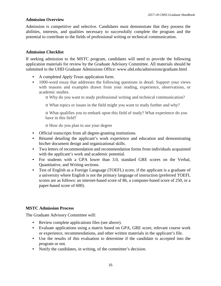#### **Admission Overview**

Admission is competitive and selective. Candidates must demonstrate that they possess the abilities, interests, and qualities necessary to successfully complete the program and the potential to contribute to the fields of professional writing or technical communication.

#### **Admission Checklist**

If seeking admission to the MSTC program, candidates will need to provide the following application materials for review by the Graduate Advisory Committee. All materials should be submitted to the UHD Graduate Admissions Office: www.uhd.edu/admissions/graduate.html

- A completed *Apply Texas* application form.
- 1000-word essay that addresses the following questions in detail. Support your views with reasons and examples drawn from your reading, experience, observations, or academic studies.

o Why do you want to study professional writing and technical communication?

o What topics or issues in the field might you want to study further and why?

o What qualifies you to embark upon this field of study? What experience do you have in this field?

o How do you plan to use your degree

- Official transcripts from all degree-granting institutions.
- Résumé detailing the applicant's work experience and education and demonstrating his/her document design and organizational skills.
- Two letters of recommendation and recommendation forms from individuals acquainted with the applicant's work and academic potential.
- For students with a GPA lower than 3.0, standard GRE scores on the Verbal, Quantitative, and Writing sections.
- Test of English as a Foreign Language (TOEFL) score, if the applicant is a graduate of a university where English is not the primary language of instruction (preferred TOEFL scores are as follows: an internet-based score of 86, a computer-based score of 250, or a paper-based score of 600).

#### **MSTC Admission Process**

The Graduate Advisory Committee will:

- Review complete applications files (see above).
- Evaluate applications using a matrix based on GPA, GRE score, relevant course work or experience, recommendations, and other written materials in the applicant's file.
- Use the results of this evaluation to determine if the candidate is accepted into the program or not.
- Notify the candidates, in writing, of the committee's decision.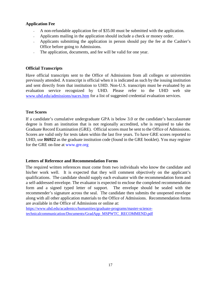# **Application Fee**

- A non-refundable application fee of \$35.00 must be submitted with the application.
- Applicants mailing in the application should include a check or money order.
- Applicants submitting the application in person should pay the fee at the Cashier's Office before going to Admissions.
- The application, documents, and fee will be valid for one year.

#### **Official Transcripts**

Have official transcripts sent to the Office of Admissions from all colleges or universities previously attended. A transcript is official when it is indicated as such by the issuing institution and sent directly from that institution to UHD. Non-U.S. transcripts must be evaluated by an evaluation service recognized by UHD. Please refer to the UHD web site [www.uhd.edu/admissions/naces.htm](http://www.uhd.edu/admissions/naces.htm) [f](http://www.uhd.edu/admissions/naces.htm)or a list of suggested credential evaluation services.

#### **Test Scores**

If a candidate's cumulative undergraduate GPA is below 3.0 or the candidate's baccalaureate degree is from an institution that is not regionally accredited, s/he is required to take the Graduate Record Examination (GRE). Official scores must be sent to the Office of Admissions. Scores are valid only for tests taken within the last five years. To have GRE scores reported to UHD, use **R6922** as the graduate institution code (found in the GRE booklet). You may register for the GRE on-line at [www.gre.org](http://www.google.com/url?q=http%3A%2F%2Fwww.gre.org%2F&sa=D&sntz=1&usg=AFQjCNHtei7ChDAK4Xe4Qt4dnTO2c48OSg)

#### **Letters of Reference and Recommendation Forms**

The required written references must come from two individuals who know the candidate and his/her work well. It is expected that they will comment objectively on the applicant's qualifications. The candidate should supply each evaluator with the recommendation form and a self-addressed envelope. The evaluator is expected to enclose the completed recommendation form and a signed typed letter of support. The envelope should be sealed with the recommender's signature across the seal. The candidate then submits the unopened envelope along with all other application materials to the Office of Admissions. Recommendation forms are available in the Office of Admissions or online at:

[https://www.uhd.edu/academics/humanities/graduate-programs/master-science](https://www.uhd.edu/academics/humanities/graduate-programs/master-science-technical-communication/Documents/GradApp_MSPWTC_RECOMMEND.pdf)[technicalcommunication/Documents/GradApp\\_MSPWTC\\_RECOMMEND.pdf](https://www.uhd.edu/academics/humanities/graduate-programs/master-science-technical-communication/Documents/GradApp_MSPWTC_RECOMMEND.pdf)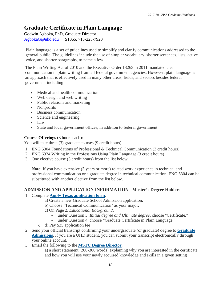# **Graduate Certificate in Plain Language**

Godwin Agboka, PhD, Graduate Director AgbokaG@uhd.edu S1065, 713-223-7920

Plain language is a set of guidelines used to simplify and clarify communications addressed to the general public. The guidelines include the use of simpler vocabulary, shorter sentences, lists, active voice, and shorter paragraphs, to name a few.

The Plain Writing Act of 2010 and the Executive Order 13263 in 2011 mandated clear communication in plain writing from all federal government agencies. However, plain language is an approach that is effectively used in many other areas, fields, and sectors besides federal government including

- Medical and health communication
- Web design and web writing
- Public relations and marketing
- Nonprofits
- Business communication
- Science and engineering
- Law
- State and local government offices, in addition to federal government

# **Course Offerings** (3 hours each):

You will take three (3) graduate courses (9 credit hours):

- 1. ENG 5304 Foundations of Professional & Technical Communication (3 credit hours)
- 2. ENG 6324 Writing in the Professions Using Plain Language (3 credit hours)
- 3. One elective course (3 credit hours) from the list below.

**Note**: If you have extensive (3 years or more) related work experience in technical and professional communication or a graduate degree in technical communication, ENG 5304 can be substituted with another elective from the list below.

# **ADMISSION AND APPLICATION INFORMATION - Master's Degree Holders**

# 1. Complete **[Apply Texas application form](https://www.applytexas.org/adappc/gen/c_start.WBX)**.

- a) Create a new Graduate School Admission application.
- b) Choose "Technical Communication" as your major.
- c) On Page 2, *Educational Background*,
	- under Question 3, *Initial degree and Ultimate degree*, choose "Certificate."
	- under Question 4, choose "Graduate Certificate in Plain Language."
- o d) Pay \$35 application fee
- 2. Send your official transcript confirming your undergraduate (or graduate) degree to **[Graduate](https://www.uhd.edu/admissions/graduate/Pages/graduate-transcripts.aspx)  [Admissions](https://www.uhd.edu/admissions/graduate/Pages/graduate-transcripts.aspx)**. If you are a UHD student, you can submit your transcript electronically through your online account.
- 3. Email the following to the **[MSTC Degree Director](https://www.uhd.edu/academics/humanities/graduate-programs/master-science-technical-communication/Pages/mstc-index.aspx)**:

a) a short statement (200-300 words) explaining why you are interested in the certificate and how you will use your newly acquired knowledge and skills in a given setting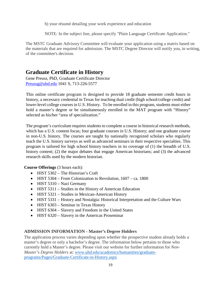b) your résumé detailing your work experience and education

NOTE: In the subject line, please specify "Plain Language Certificate Application."

The MSTC Graduate Advisory Committee will evaluate your application using a matrix based on the materials that are required for admission. The MSTC Degree Director will notify you, in writing, of the committee's decision.

# **Graduate Certificate in History**

Gene Preuss, PhD, Graduate Certificate Director Preussg@uhd.edu 1041 S, 713-226-5577

This online certificate program is designed to provide 18 graduate semester credit hours in history, a necessary credential in Texas for teaching dual credit (high school/college credit) and lower-level college courses in U.S. History. To be enrolled in this program, students must either hold a master's degree or be simultaneously enrolled in the MAT program with "History" selected as his/her "area of specialization."

The program's curriculum requires students to complete a course in historical research methods, which has a U.S. content focus; four graduate courses in U.S. History; and one graduate course in non-U.S. history. The courses are taught by nationally recognized scholars who regularly teach the U.S. history surveys as well as advanced seminars in their respective specialties. This program is tailored for high school history teachers in its coverage of (1) the breadth of U.S. history content; (2) the major debates that engage American historians; and (3) the advanced research skills used by the modern historian.

## **Course Offerings** (3 hours each):

- HIST 5302 The Historian's Craft
- HIST 5304 From Colonization to Revolution, 1607 ca. 1800
- HIST 5310 Nazi Germany
- HIST 5311 Studies in the History of American Education
- HIST 5321 Studies in Mexican-American History
- HIST 5331 History and Nostalgia: Historical Interpretation and the Culture Wars
- HIST 6303 Seminar in Texas History
- HIST 6304 Slavery and Freedom in the United States
- HIST 6320 Slavery in the Americas Proseminar

# **ADMISSION INFORMATION - Master's Degree Holders**

The application process varies depending upon whether the prospective student already holds a master's degree or only a bachelor's degree. The information below pertains to those who currently hold a Master's degree. Please visit our website for further information for *Non-Master's Degree Holders* at: [www.uhd.edu/academics/humanities/graduate](https://www.uhd.edu/academics/humanities/graduate-programs/Pages/Graduate-Certificate-in-History.aspx)[programs/Pages/Graduate-Certificate-in-History.aspx](https://www.uhd.edu/academics/humanities/graduate-programs/Pages/Graduate-Certificate-in-History.aspx)